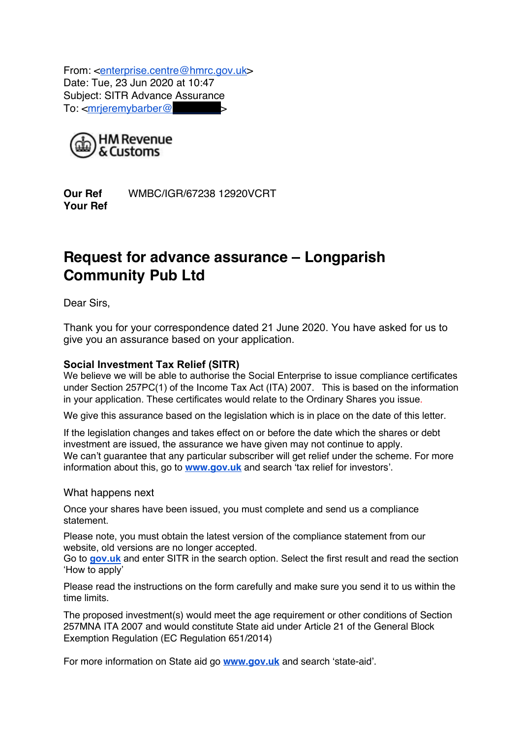From: <enterprise.centre@hmrc.gov.uk> Date: Tue, 23 Jun 2020 at 10:47 Subject: SITR Advance Assurance To:  $\leq$ mrjeremybarber@



**Our Ref** WMBC/IGR/67238 12920VCRT **Your Ref**

# **Request for advance assurance – Longparish Community Pub Ltd**

Dear Sirs,

Thank you for your correspondence dated 21 June 2020. You have asked for us to give you an assurance based on your application.

## **Social Investment Tax Relief (SITR)**

We believe we will be able to authorise the Social Enterprise to issue compliance certificates under Section 257PC(1) of the Income Tax Act (ITA) 2007. This is based on the information in your application. These certificates would relate to the Ordinary Shares you issue.

We give this assurance based on the legislation which is in place on the date of this letter.

If the legislation changes and takes effect on or before the date which the shares or debt investment are issued, the assurance we have given may not continue to apply. We can't guarantee that any particular subscriber will get relief under the scheme. For more information about this, go to **www.gov.uk** and search 'tax relief for investors'.

#### What happens next

Once your shares have been issued, you must complete and send us a compliance statement.

Please note, you must obtain the latest version of the compliance statement from our website, old versions are no longer accepted.

Go to **gov.uk** and enter SITR in the search option. Select the first result and read the section 'How to apply'

Please read the instructions on the form carefully and make sure you send it to us within the time limits.

The proposed investment(s) would meet the age requirement or other conditions of Section 257MNA ITA 2007 and would constitute State aid under Article 21 of the General Block Exemption Regulation (EC Regulation 651/2014)

For more information on State aid go **www.gov.uk** and search 'state-aid'.